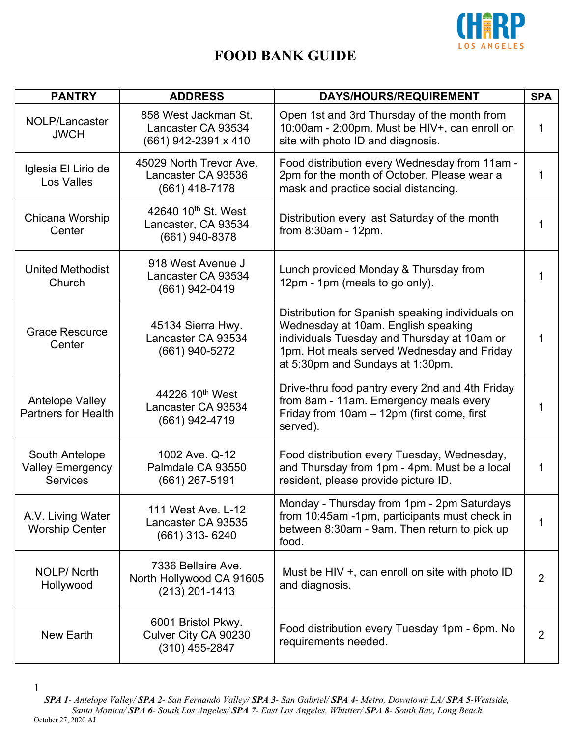

| <b>PANTRY</b>                                                | <b>ADDRESS</b>                                                           | DAYS/HOURS/REQUIREMENT                                                                                                                                                                                                   | <b>SPA</b>     |
|--------------------------------------------------------------|--------------------------------------------------------------------------|--------------------------------------------------------------------------------------------------------------------------------------------------------------------------------------------------------------------------|----------------|
| NOLP/Lancaster<br><b>JWCH</b>                                | 858 West Jackman St.<br>Lancaster CA 93534<br>(661) 942-2391 x 410       | Open 1st and 3rd Thursday of the month from<br>10:00am - 2:00pm. Must be HIV+, can enroll on<br>site with photo ID and diagnosis.                                                                                        | 1              |
| Iglesia El Lirio de<br><b>Los Valles</b>                     | 45029 North Trevor Ave.<br>Lancaster CA 93536<br>(661) 418-7178          | Food distribution every Wednesday from 11am -<br>2pm for the month of October. Please wear a<br>mask and practice social distancing.                                                                                     | 1              |
| Chicana Worship<br>Center                                    | 42640 10 <sup>th</sup> St. West<br>Lancaster, CA 93534<br>(661) 940-8378 | Distribution every last Saturday of the month<br>from 8:30am - 12pm.                                                                                                                                                     | 1              |
| <b>United Methodist</b><br>Church                            | 918 West Avenue J<br>Lancaster CA 93534<br>$(661)$ 942-0419              | Lunch provided Monday & Thursday from<br>12pm - 1pm (meals to go only).                                                                                                                                                  | 1              |
| <b>Grace Resource</b><br>Center                              | 45134 Sierra Hwy.<br>Lancaster CA 93534<br>(661) 940-5272                | Distribution for Spanish speaking individuals on<br>Wednesday at 10am. English speaking<br>individuals Tuesday and Thursday at 10am or<br>1pm. Hot meals served Wednesday and Friday<br>at 5:30pm and Sundays at 1:30pm. | 1              |
| <b>Antelope Valley</b><br><b>Partners for Health</b>         | 44226 10 <sup>th</sup> West<br>Lancaster CA 93534<br>(661) 942-4719      | Drive-thru food pantry every 2nd and 4th Friday<br>from 8am - 11am. Emergency meals every<br>Friday from 10am - 12pm (first come, first<br>served).                                                                      | 1              |
| South Antelope<br><b>Valley Emergency</b><br><b>Services</b> | 1002 Ave. Q-12<br>Palmdale CA 93550<br>$(661)$ 267-5191                  | Food distribution every Tuesday, Wednesday,<br>and Thursday from 1pm - 4pm. Must be a local<br>resident, please provide picture ID.                                                                                      | 1              |
| A.V. Living Water<br><b>Worship Center</b>                   | 111 West Ave. L-12<br>Lancaster CA 93535<br>(661) 313- 6240              | Monday - Thursday from 1pm - 2pm Saturdays<br>from 10:45am -1pm, participants must check in<br>between 8:30am - 9am. Then return to pick up<br>food.                                                                     | 1              |
| <b>NOLP/North</b><br>Hollywood                               | 7336 Bellaire Ave.<br>North Hollywood CA 91605<br>$(213)$ 201-1413       | Must be HIV +, can enroll on site with photo ID<br>and diagnosis.                                                                                                                                                        | $\overline{2}$ |
| New Earth                                                    | 6001 Bristol Pkwy.<br>Culver City CA 90230<br>$(310)$ 455-2847           | Food distribution every Tuesday 1pm - 6pm. No<br>requirements needed.                                                                                                                                                    | 2              |

<sup>1</sup>

*SPA 1- Antelope Valley/ SPA 2- San Fernando Valley/ SPA 3- San Gabriel/ SPA 4- Metro, Downtown LA/ SPA 5-Westside, Santa Monica/ SPA 6- South Los Angeles/ SPA 7- East Los Angeles, Whittier/ SPA 8- South Bay, Long Beach* October 27, 2020 AJ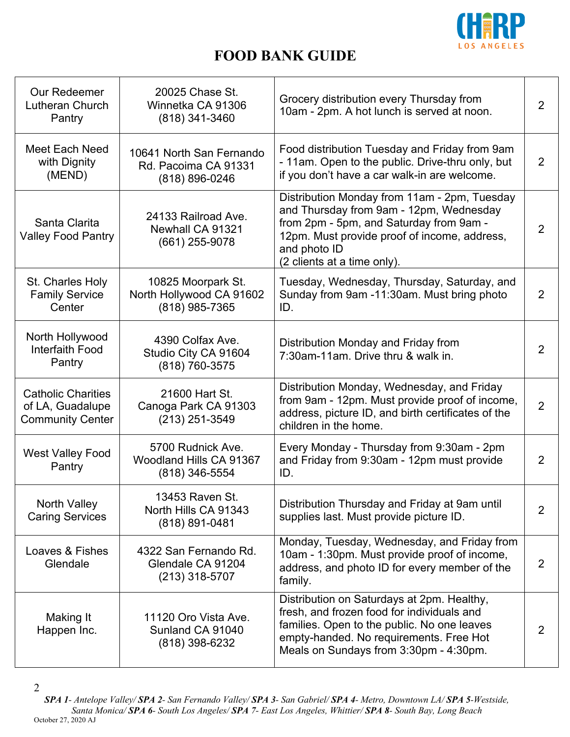

| <b>Our Redeemer</b><br>Lutheran Church<br>Pantry                         | 20025 Chase St.<br>Winnetka CA 91306<br>$(818)$ 341-3460           | Grocery distribution every Thursday from<br>10am - 2pm. A hot lunch is served at noon.                                                                                                                                            | $\overline{2}$ |
|--------------------------------------------------------------------------|--------------------------------------------------------------------|-----------------------------------------------------------------------------------------------------------------------------------------------------------------------------------------------------------------------------------|----------------|
| Meet Each Need<br>with Dignity<br>(MEND)                                 | 10641 North San Fernando<br>Rd. Pacoima CA 91331<br>(818) 896-0246 | Food distribution Tuesday and Friday from 9am<br>- 11am. Open to the public. Drive-thru only, but<br>if you don't have a car walk-in are welcome.                                                                                 | 2              |
| Santa Clarita<br><b>Valley Food Pantry</b>                               | 24133 Railroad Ave.<br>Newhall CA 91321<br>(661) 255-9078          | Distribution Monday from 11am - 2pm, Tuesday<br>and Thursday from 9am - 12pm, Wednesday<br>from 2pm - 5pm, and Saturday from 9am -<br>12pm. Must provide proof of income, address,<br>and photo ID<br>(2 clients at a time only). | $\overline{2}$ |
| St. Charles Holy<br><b>Family Service</b><br>Center                      | 10825 Moorpark St.<br>North Hollywood CA 91602<br>(818) 985-7365   | Tuesday, Wednesday, Thursday, Saturday, and<br>Sunday from 9am -11:30am. Must bring photo<br>ID.                                                                                                                                  | $\overline{2}$ |
| North Hollywood<br><b>Interfaith Food</b><br>Pantry                      | 4390 Colfax Ave.<br>Studio City CA 91604<br>(818) 760-3575         | Distribution Monday and Friday from<br>7:30am-11am. Drive thru & walk in.                                                                                                                                                         | $\overline{2}$ |
| <b>Catholic Charities</b><br>of LA, Guadalupe<br><b>Community Center</b> | 21600 Hart St.<br>Canoga Park CA 91303<br>$(213)$ 251-3549         | Distribution Monday, Wednesday, and Friday<br>from 9am - 12pm. Must provide proof of income,<br>address, picture ID, and birth certificates of the<br>children in the home.                                                       | $\overline{2}$ |
| <b>West Valley Food</b><br>Pantry                                        | 5700 Rudnick Ave.<br>Woodland Hills CA 91367<br>(818) 346-5554     | Every Monday - Thursday from 9:30am - 2pm<br>and Friday from 9:30am - 12pm must provide<br>ID.                                                                                                                                    | $\overline{2}$ |
| North Valley<br><b>Caring Services</b>                                   | 13453 Raven St.<br>North Hills CA 91343<br>(818) 891-0481          | Distribution Thursday and Friday at 9am until<br>supplies last. Must provide picture ID.                                                                                                                                          | $\overline{2}$ |
| <b>Loaves &amp; Fishes</b><br>Glendale                                   | 4322 San Fernando Rd.<br>Glendale CA 91204<br>(213) 318-5707       | Monday, Tuesday, Wednesday, and Friday from<br>10am - 1:30pm. Must provide proof of income,<br>address, and photo ID for every member of the<br>family.                                                                           | $\overline{2}$ |
| Making It<br>Happen Inc.                                                 | 11120 Oro Vista Ave.<br>Sunland CA 91040<br>$(818)$ 398-6232       | Distribution on Saturdays at 2pm. Healthy,<br>fresh, and frozen food for individuals and<br>families. Open to the public. No one leaves<br>empty-handed. No requirements. Free Hot<br>Meals on Sundays from 3:30pm - 4:30pm.      | 2              |

<sup>2</sup>

*SPA 1- Antelope Valley/ SPA 2- San Fernando Valley/ SPA 3- San Gabriel/ SPA 4- Metro, Downtown LA/ SPA 5-Westside, Santa Monica/ SPA 6- South Los Angeles/ SPA 7- East Los Angeles, Whittier/ SPA 8- South Bay, Long Beach* October 27, 2020 AJ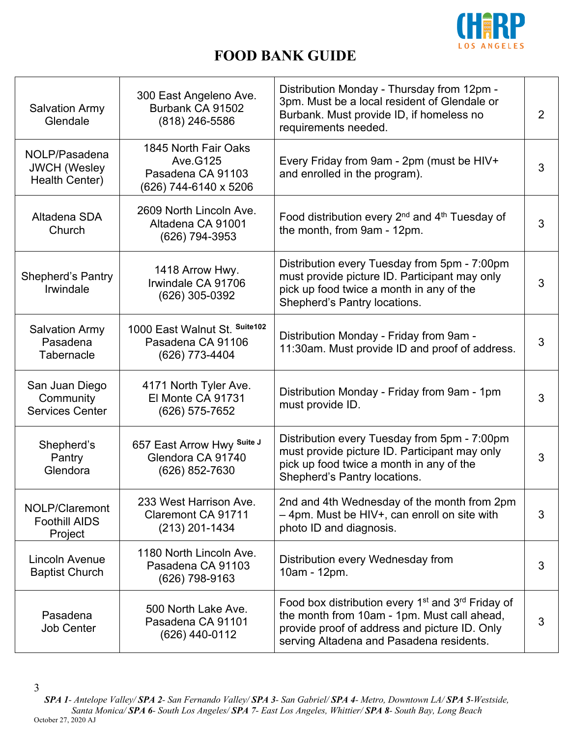

| <b>Salvation Army</b><br>Glendale                      | 300 East Angeleno Ave.<br>Burbank CA 91502<br>$(818)$ 246-5586                  | Distribution Monday - Thursday from 12pm -<br>3pm. Must be a local resident of Glendale or<br>Burbank. Must provide ID, if homeless no<br>requirements needed.                                                        | $\overline{2}$ |
|--------------------------------------------------------|---------------------------------------------------------------------------------|-----------------------------------------------------------------------------------------------------------------------------------------------------------------------------------------------------------------------|----------------|
| NOLP/Pasadena<br><b>JWCH</b> (Wesley<br>Health Center) | 1845 North Fair Oaks<br>Ave. G125<br>Pasadena CA 91103<br>(626) 744-6140 x 5206 | Every Friday from 9am - 2pm (must be HIV+<br>and enrolled in the program).                                                                                                                                            | 3              |
| Altadena SDA<br>Church                                 | 2609 North Lincoln Ave.<br>Altadena CA 91001<br>(626) 794-3953                  | Food distribution every 2 <sup>nd</sup> and 4 <sup>th</sup> Tuesday of<br>the month, from 9am - 12pm.                                                                                                                 | 3              |
| <b>Shepherd's Pantry</b><br>Irwindale                  | 1418 Arrow Hwy.<br>Irwindale CA 91706<br>(626) 305-0392                         | Distribution every Tuesday from 5pm - 7:00pm<br>must provide picture ID. Participant may only<br>pick up food twice a month in any of the<br>Shepherd's Pantry locations.                                             | 3              |
| <b>Salvation Army</b><br>Pasadena<br>Tabernacle        | 1000 East Walnut St. Suite102<br>Pasadena CA 91106<br>(626) 773-4404            | Distribution Monday - Friday from 9am -<br>11:30am. Must provide ID and proof of address.                                                                                                                             | 3              |
| San Juan Diego<br>Community<br><b>Services Center</b>  | 4171 North Tyler Ave.<br>El Monte CA 91731<br>(626) 575-7652                    | Distribution Monday - Friday from 9am - 1pm<br>must provide ID.                                                                                                                                                       | 3              |
| Shepherd's<br>Pantry<br>Glendora                       | 657 East Arrow Hwy Suite J<br>Glendora CA 91740<br>(626) 852-7630               | Distribution every Tuesday from 5pm - 7:00pm<br>must provide picture ID. Participant may only<br>pick up food twice a month in any of the<br>Shepherd's Pantry locations.                                             | 3              |
| NOLP/Claremont<br><b>Foothill AIDS</b><br>Project      | 233 West Harrison Ave.<br>Claremont CA 91711<br>$(213)$ 201-1434                | 2nd and 4th Wednesday of the month from 2pm<br>- 4pm. Must be HIV+, can enroll on site with<br>photo ID and diagnosis.                                                                                                | 3              |
| Lincoln Avenue<br><b>Baptist Church</b>                | 1180 North Lincoln Ave.<br>Pasadena CA 91103<br>(626) 798-9163                  | Distribution every Wednesday from<br>10am - 12pm.                                                                                                                                                                     | 3              |
| Pasadena<br><b>Job Center</b>                          | 500 North Lake Ave.<br>Pasadena CA 91101<br>(626) 440-0112                      | Food box distribution every 1 <sup>st</sup> and 3 <sup>rd</sup> Friday of<br>the month from 10am - 1pm. Must call ahead,<br>provide proof of address and picture ID. Only<br>serving Altadena and Pasadena residents. | 3              |

*SPA 1- Antelope Valley/ SPA 2- San Fernando Valley/ SPA 3- San Gabriel/ SPA 4- Metro, Downtown LA/ SPA 5-Westside, Santa Monica/ SPA 6- South Los Angeles/ SPA 7- East Los Angeles, Whittier/ SPA 8- South Bay, Long Beach* October 27, 2020 AJ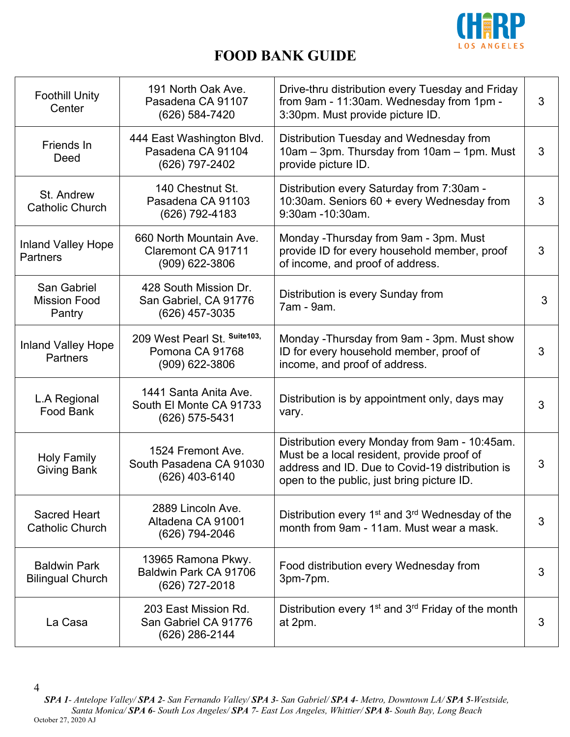

| <b>Foothill Unity</b><br>Center                | 191 North Oak Ave.<br>Pasadena CA 91107<br>(626) 584-7420           | Drive-thru distribution every Tuesday and Friday<br>from 9am - 11:30am. Wednesday from 1pm -<br>3:30pm. Must provide picture ID.                                                             | 3 |
|------------------------------------------------|---------------------------------------------------------------------|----------------------------------------------------------------------------------------------------------------------------------------------------------------------------------------------|---|
| Friends In<br>Deed                             | 444 East Washington Blvd.<br>Pasadena CA 91104<br>(626) 797-2402    | Distribution Tuesday and Wednesday from<br>10am - 3pm. Thursday from 10am - 1pm. Must<br>provide picture ID.                                                                                 | 3 |
| St. Andrew<br><b>Catholic Church</b>           | 140 Chestnut St.<br>Pasadena CA 91103<br>(626) 792-4183             | Distribution every Saturday from 7:30am -<br>10:30am. Seniors 60 + every Wednesday from<br>9:30am -10:30am.                                                                                  | 3 |
| <b>Inland Valley Hope</b><br><b>Partners</b>   | 660 North Mountain Ave.<br>Claremont CA 91711<br>$(909)$ 622-3806   | Monday - Thursday from 9am - 3pm. Must<br>provide ID for every household member, proof<br>of income, and proof of address.                                                                   | 3 |
| San Gabriel<br><b>Mission Food</b><br>Pantry   | 428 South Mission Dr.<br>San Gabriel, CA 91776<br>(626) 457-3035    | Distribution is every Sunday from<br>7am - 9am.                                                                                                                                              | 3 |
| <b>Inland Valley Hope</b><br><b>Partners</b>   | 209 West Pearl St. Suite103,<br>Pomona CA 91768<br>$(909)$ 622-3806 | Monday - Thursday from 9am - 3pm. Must show<br>ID for every household member, proof of<br>income, and proof of address.                                                                      | 3 |
| L.A Regional<br>Food Bank                      | 1441 Santa Anita Ave.<br>South El Monte CA 91733<br>(626) 575-5431  | Distribution is by appointment only, days may<br>vary.                                                                                                                                       | 3 |
| <b>Holy Family</b><br>Giving Bank              | 1524 Fremont Ave.<br>South Pasadena CA 91030<br>(626) 403-6140      | Distribution every Monday from 9am - 10:45am.<br>Must be a local resident, provide proof of<br>address and ID. Due to Covid-19 distribution is<br>open to the public, just bring picture ID. | 3 |
| <b>Sacred Heart</b><br><b>Catholic Church</b>  | 2889 Lincoln Ave.<br>Altadena CA 91001<br>(626) 794-2046            | Distribution every 1 <sup>st</sup> and 3 <sup>rd</sup> Wednesday of the<br>month from 9am - 11am. Must wear a mask.                                                                          | 3 |
| <b>Baldwin Park</b><br><b>Bilingual Church</b> | 13965 Ramona Pkwy.<br>Baldwin Park CA 91706<br>(626) 727-2018       | Food distribution every Wednesday from<br>3pm-7pm.                                                                                                                                           | 3 |
| La Casa                                        | 203 East Mission Rd.<br>San Gabriel CA 91776<br>(626) 286-2144      | Distribution every $1st$ and $3rd$ Friday of the month<br>at 2pm.                                                                                                                            | 3 |

<sup>4</sup>

*SPA 1- Antelope Valley/ SPA 2- San Fernando Valley/ SPA 3- San Gabriel/ SPA 4- Metro, Downtown LA/ SPA 5-Westside, Santa Monica/ SPA 6- South Los Angeles/ SPA 7- East Los Angeles, Whittier/ SPA 8- South Bay, Long Beach* October 27, 2020 AJ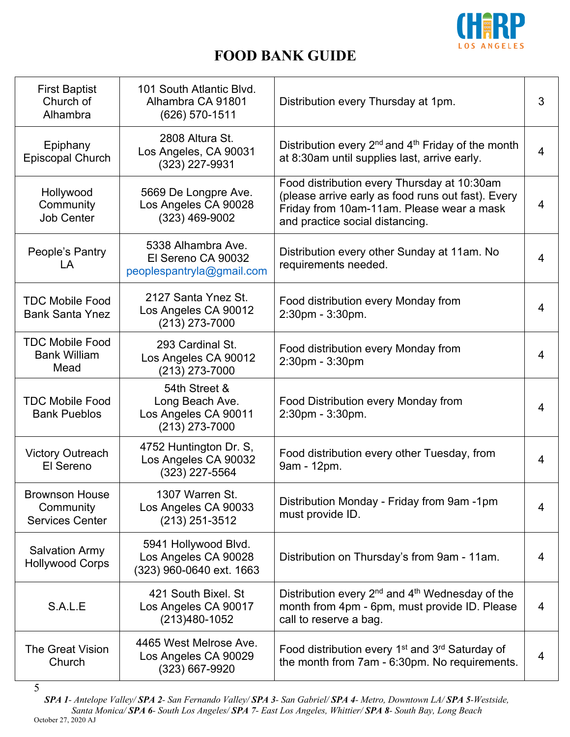

| <b>First Baptist</b><br>Church of<br>Alhambra                | 101 South Atlantic Blvd.<br>Alhambra CA 91801<br>(626) 570-1511              | Distribution every Thursday at 1pm.                                                                                                                                               | 3              |
|--------------------------------------------------------------|------------------------------------------------------------------------------|-----------------------------------------------------------------------------------------------------------------------------------------------------------------------------------|----------------|
| Epiphany<br><b>Episcopal Church</b>                          | 2808 Altura St.<br>Los Angeles, CA 90031<br>(323) 227-9931                   | Distribution every $2^{nd}$ and $4^{th}$ Friday of the month<br>at 8:30am until supplies last, arrive early.                                                                      | $\overline{4}$ |
| Hollywood<br>Community<br><b>Job Center</b>                  | 5669 De Longpre Ave.<br>Los Angeles CA 90028<br>$(323)$ 469-9002             | Food distribution every Thursday at 10:30am<br>(please arrive early as food runs out fast). Every<br>Friday from 10am-11am. Please wear a mask<br>and practice social distancing. | 4              |
| People's Pantry<br>LA                                        | 5338 Alhambra Ave.<br>El Sereno CA 90032<br>peoplespantryla@gmail.com        | Distribution every other Sunday at 11am. No<br>requirements needed.                                                                                                               | $\overline{4}$ |
| <b>TDC Mobile Food</b><br><b>Bank Santa Ynez</b>             | 2127 Santa Ynez St.<br>Los Angeles CA 90012<br>$(213)$ 273-7000              | Food distribution every Monday from<br>2:30pm - 3:30pm.                                                                                                                           | 4              |
| <b>TDC Mobile Food</b><br><b>Bank William</b><br>Mead        | 293 Cardinal St.<br>Los Angeles CA 90012<br>(213) 273-7000                   | Food distribution every Monday from<br>2:30pm - 3:30pm                                                                                                                            | $\overline{4}$ |
| <b>TDC Mobile Food</b><br><b>Bank Pueblos</b>                | 54th Street &<br>Long Beach Ave.<br>Los Angeles CA 90011<br>$(213)$ 273-7000 | Food Distribution every Monday from<br>2:30pm - 3:30pm.                                                                                                                           | 4              |
| <b>Victory Outreach</b><br>El Sereno                         | 4752 Huntington Dr. S,<br>Los Angeles CA 90032<br>(323) 227-5564             | Food distribution every other Tuesday, from<br>9am - 12pm.                                                                                                                        | $\overline{4}$ |
| <b>Brownson House</b><br>Community<br><b>Services Center</b> | 1307 Warren St.<br>Los Angeles CA 90033<br>$(213)$ 251-3512                  | Distribution Monday - Friday from 9am -1pm<br>must provide ID.                                                                                                                    | 4              |
| <b>Salvation Army</b><br><b>Hollywood Corps</b>              | 5941 Hollywood Blvd.<br>Los Angeles CA 90028<br>(323) 960-0640 ext. 1663     | Distribution on Thursday's from 9am - 11am.                                                                                                                                       | $\overline{4}$ |
| S.A.L.E                                                      | 421 South Bixel. St<br>Los Angeles CA 90017<br>$(213)480-1052$               | Distribution every $2^{nd}$ and $4^{th}$ Wednesday of the<br>month from 4pm - 6pm, must provide ID. Please<br>call to reserve a bag.                                              | 4              |
| <b>The Great Vision</b><br>Church                            | 4465 West Melrose Ave.<br>Los Angeles CA 90029<br>(323) 667-9920             | Food distribution every 1 <sup>st</sup> and 3 <sup>rd</sup> Saturday of<br>the month from 7am - 6:30pm. No requirements.                                                          | 4              |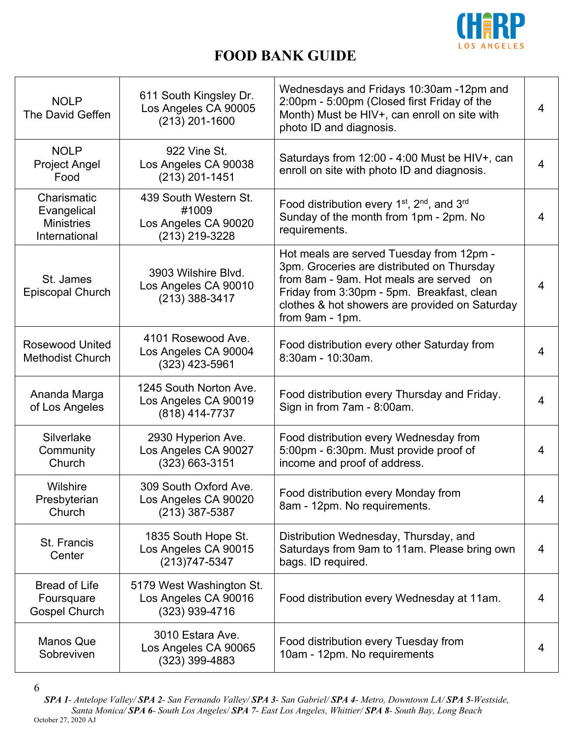

| <b>NOLP</b><br>The David Geffen                                  | 611 South Kingsley Dr.<br>Los Angeles CA 90005<br>$(213)$ 201-1600       | Wednesdays and Fridays 10:30am -12pm and<br>2:00pm - 5:00pm (Closed first Friday of the<br>Month) Must be HIV+, can enroll on site with<br>photo ID and diagnosis.                                                                                   | $\overline{4}$ |
|------------------------------------------------------------------|--------------------------------------------------------------------------|------------------------------------------------------------------------------------------------------------------------------------------------------------------------------------------------------------------------------------------------------|----------------|
| <b>NOLP</b><br><b>Project Angel</b><br>Food                      | 922 Vine St.<br>Los Angeles CA 90038<br>$(213)$ 201-1451                 | Saturdays from 12:00 - 4:00 Must be HIV+, can<br>enroll on site with photo ID and diagnosis.                                                                                                                                                         | $\overline{4}$ |
| Charismatic<br>Evangelical<br><b>Ministries</b><br>International | 439 South Western St.<br>#1009<br>Los Angeles CA 90020<br>(213) 219-3228 | Food distribution every 1 <sup>st</sup> , 2 <sup>nd</sup> , and 3 <sup>rd</sup><br>Sunday of the month from 1pm - 2pm. No<br>requirements.                                                                                                           | $\overline{4}$ |
| St. James<br><b>Episcopal Church</b>                             | 3903 Wilshire Blvd.<br>Los Angeles CA 90010<br>$(213)$ 388-3417          | Hot meals are served Tuesday from 12pm -<br>3pm. Groceries are distributed on Thursday<br>from 8am - 9am. Hot meals are served on<br>Friday from 3:30pm - 5pm. Breakfast, clean<br>clothes & hot showers are provided on Saturday<br>from 9am - 1pm. | 4              |
| <b>Rosewood United</b><br><b>Methodist Church</b>                | 4101 Rosewood Ave.<br>Los Angeles CA 90004<br>$(323)$ 423-5961           | Food distribution every other Saturday from<br>8:30am - 10:30am.                                                                                                                                                                                     | $\overline{4}$ |
| Ananda Marga<br>of Los Angeles                                   | 1245 South Norton Ave.<br>Los Angeles CA 90019<br>(818) 414-7737         | Food distribution every Thursday and Friday.<br>Sign in from 7am - 8:00am.                                                                                                                                                                           | $\overline{4}$ |
| Silverlake<br>Community<br>Church                                | 2930 Hyperion Ave.<br>Los Angeles CA 90027<br>$(323) 663 - 3151$         | Food distribution every Wednesday from<br>5:00pm - 6:30pm. Must provide proof of<br>income and proof of address.                                                                                                                                     | $\overline{4}$ |
| Wilshire<br>Presbyterian<br>Church                               | 309 South Oxford Ave.<br>Los Angeles CA 90020<br>(213) 387-5387          | Food distribution every Monday from<br>8am - 12pm. No requirements.                                                                                                                                                                                  | 4              |
| St. Francis<br>Center                                            | 1835 South Hope St.<br>Los Angeles CA 90015<br>(213) 747-5347            | Distribution Wednesday, Thursday, and<br>Saturdays from 9am to 11am. Please bring own<br>bags. ID required.                                                                                                                                          | 4              |
| <b>Bread of Life</b><br>Foursquare<br><b>Gospel Church</b>       | 5179 West Washington St.<br>Los Angeles CA 90016<br>(323) 939-4716       | Food distribution every Wednesday at 11am.                                                                                                                                                                                                           | 4              |
| <b>Manos Que</b><br>Sobreviven                                   | 3010 Estara Ave.<br>Los Angeles CA 90065<br>$(323)$ 399-4883             | Food distribution every Tuesday from<br>10am - 12pm. No requirements                                                                                                                                                                                 | $\overline{4}$ |

6 *SPA 1- Antelope Valley/ SPA 2- San Fernando Valley/ SPA 3- San Gabriel/ SPA 4- Metro, Downtown LA/ SPA 5-Westside, Santa Monica/ SPA 6- South Los Angeles/ SPA 7- East Los Angeles, Whittier/ SPA 8- South Bay, Long Beach* October 27, 2020 AJ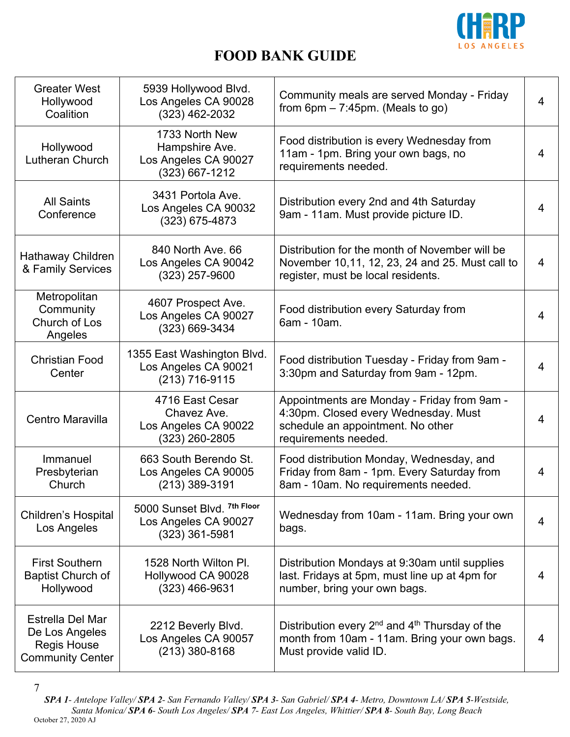

| <b>Greater West</b><br>Hollywood<br>Coalition                                       | 5939 Hollywood Blvd.<br>Los Angeles CA 90028<br>$(323)$ 462-2032               | Community meals are served Monday - Friday<br>from $6pm - 7:45pm$ . (Meals to go)                                                                | $\overline{4}$ |
|-------------------------------------------------------------------------------------|--------------------------------------------------------------------------------|--------------------------------------------------------------------------------------------------------------------------------------------------|----------------|
| Hollywood<br>Lutheran Church                                                        | 1733 North New<br>Hampshire Ave.<br>Los Angeles CA 90027<br>$(323) 667 - 1212$ | Food distribution is every Wednesday from<br>11am - 1pm. Bring your own bags, no<br>requirements needed.                                         | $\overline{4}$ |
| <b>All Saints</b><br>Conference                                                     | 3431 Portola Ave.<br>Los Angeles CA 90032<br>$(323)$ 675-4873                  | Distribution every 2nd and 4th Saturday<br>9am - 11am. Must provide picture ID.                                                                  | 4              |
| Hathaway Children<br>& Family Services                                              | 840 North Ave, 66<br>Los Angeles CA 90042<br>(323) 257-9600                    | Distribution for the month of November will be<br>November 10,11, 12, 23, 24 and 25. Must call to<br>register, must be local residents.          | $\overline{4}$ |
| Metropolitan<br>Community<br>Church of Los<br>Angeles                               | 4607 Prospect Ave.<br>Los Angeles CA 90027<br>(323) 669-3434                   | Food distribution every Saturday from<br>6am - 10am.                                                                                             | $\overline{4}$ |
| <b>Christian Food</b><br>Center                                                     | 1355 East Washington Blvd.<br>Los Angeles CA 90021<br>(213) 716-9115           | Food distribution Tuesday - Friday from 9am -<br>3:30pm and Saturday from 9am - 12pm.                                                            | $\overline{4}$ |
| Centro Maravilla                                                                    | 4716 East Cesar<br>Chavez Ave.<br>Los Angeles CA 90022<br>(323) 260-2805       | Appointments are Monday - Friday from 9am -<br>4:30pm. Closed every Wednesday. Must<br>schedule an appointment. No other<br>requirements needed. | 4              |
| Immanuel<br>Presbyterian<br>Church                                                  | 663 South Berendo St.<br>Los Angeles CA 90005<br>(213) 389-3191                | Food distribution Monday, Wednesday, and<br>Friday from 8am - 1pm. Every Saturday from<br>8am - 10am. No requirements needed.                    | 4              |
| <b>Children's Hospital</b><br>Los Angeles                                           | 5000 Sunset Blvd. 7th Floor<br>Los Angeles CA 90027<br>$(323)$ 361-5981        | Wednesday from 10am - 11am. Bring your own<br>bags.                                                                                              | $\overline{4}$ |
| <b>First Southern</b><br><b>Baptist Church of</b><br>Hollywood                      | 1528 North Wilton PI.<br>Hollywood CA 90028<br>$(323)$ 466-9631                | Distribution Mondays at 9:30am until supplies<br>last. Fridays at 5pm, must line up at 4pm for<br>number, bring your own bags.                   | 4              |
| Estrella Del Mar<br>De Los Angeles<br><b>Regis House</b><br><b>Community Center</b> | 2212 Beverly Blvd.<br>Los Angeles CA 90057<br>$(213)$ 380-8168                 | Distribution every $2^{nd}$ and $4^{th}$ Thursday of the<br>month from 10am - 11am. Bring your own bags.<br>Must provide valid ID.               | 4              |

<sup>7</sup>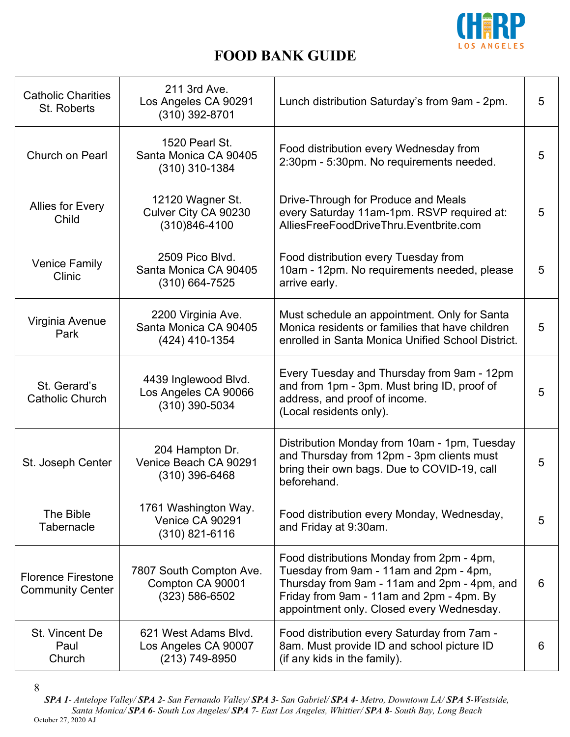

| <b>Catholic Charities</b><br>St. Roberts             | 211 3rd Ave.<br>Los Angeles CA 90291<br>$(310)$ 392-8701          | Lunch distribution Saturday's from 9am - 2pm.                                                                                                                                                                               | 5 |
|------------------------------------------------------|-------------------------------------------------------------------|-----------------------------------------------------------------------------------------------------------------------------------------------------------------------------------------------------------------------------|---|
| <b>Church on Pearl</b>                               | 1520 Pearl St.<br>Santa Monica CA 90405<br>$(310)$ 310-1384       | Food distribution every Wednesday from<br>2:30pm - 5:30pm. No requirements needed.                                                                                                                                          | 5 |
| <b>Allies for Every</b><br>Child                     | 12120 Wagner St.<br>Culver City CA 90230<br>$(310)846 - 4100$     | Drive-Through for Produce and Meals<br>every Saturday 11am-1pm. RSVP required at:<br>AlliesFreeFoodDriveThru.Eventbrite.com                                                                                                 | 5 |
| <b>Venice Family</b><br>Clinic                       | 2509 Pico Blvd.<br>Santa Monica CA 90405<br>$(310) 664 - 7525$    | Food distribution every Tuesday from<br>10am - 12pm. No requirements needed, please<br>arrive early.                                                                                                                        | 5 |
| Virginia Avenue<br>Park                              | 2200 Virginia Ave.<br>Santa Monica CA 90405<br>(424) 410-1354     | Must schedule an appointment. Only for Santa<br>Monica residents or families that have children<br>enrolled in Santa Monica Unified School District.                                                                        | 5 |
| St. Gerard's<br><b>Catholic Church</b>               | 4439 Inglewood Blvd.<br>Los Angeles CA 90066<br>(310) 390-5034    | Every Tuesday and Thursday from 9am - 12pm<br>and from 1pm - 3pm. Must bring ID, proof of<br>address, and proof of income.<br>(Local residents only).                                                                       | 5 |
| St. Joseph Center                                    | 204 Hampton Dr.<br>Venice Beach CA 90291<br>$(310)$ 396-6468      | Distribution Monday from 10am - 1pm, Tuesday<br>and Thursday from 12pm - 3pm clients must<br>bring their own bags. Due to COVID-19, call<br>beforehand.                                                                     | 5 |
| The Bible<br>Tabernacle                              | 1761 Washington Way.<br>Venice CA 90291<br>$(310)$ 821-6116       | Food distribution every Monday, Wednesday,<br>and Friday at 9:30am.                                                                                                                                                         | 5 |
| <b>Florence Firestone</b><br><b>Community Center</b> | 7807 South Compton Ave.<br>Compton CA 90001<br>$(323) 586 - 6502$ | Food distributions Monday from 2pm - 4pm,<br>Tuesday from 9am - 11am and 2pm - 4pm,<br>Thursday from 9am - 11am and 2pm - 4pm, and<br>Friday from 9am - 11am and 2pm - 4pm. By<br>appointment only. Closed every Wednesday. | 6 |
| St. Vincent De<br>Paul<br>Church                     | 621 West Adams Blvd.<br>Los Angeles CA 90007<br>(213) 749-8950    | Food distribution every Saturday from 7am -<br>8am. Must provide ID and school picture ID<br>(if any kids in the family).                                                                                                   | 6 |

<sup>8</sup>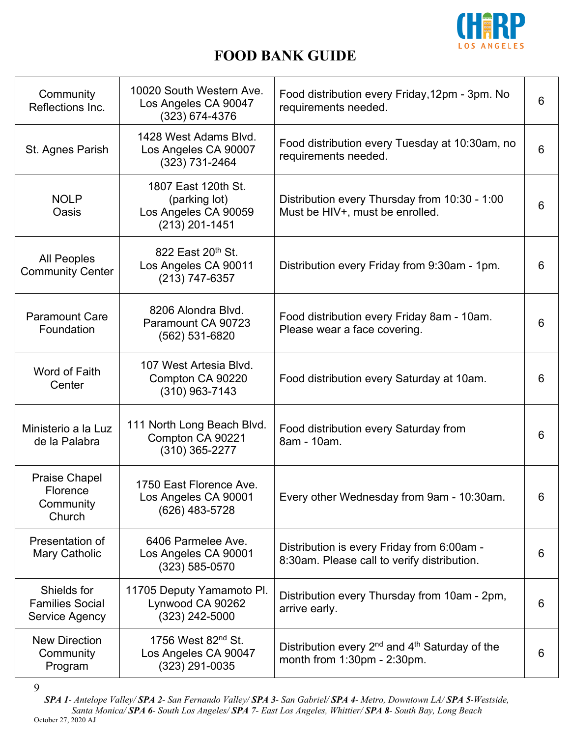

| Community<br>Reflections Inc.                           | 10020 South Western Ave.<br>Los Angeles CA 90047<br>$(323) 674 - 4376$           | Food distribution every Friday, 12pm - 3pm. No<br>requirements needed.                    | 6 |
|---------------------------------------------------------|----------------------------------------------------------------------------------|-------------------------------------------------------------------------------------------|---|
| St. Agnes Parish                                        | 1428 West Adams Blvd.<br>Los Angeles CA 90007<br>(323) 731-2464                  | Food distribution every Tuesday at 10:30am, no<br>requirements needed.                    | 6 |
| <b>NOLP</b><br>Oasis                                    | 1807 East 120th St.<br>(parking lot)<br>Los Angeles CA 90059<br>$(213)$ 201-1451 | Distribution every Thursday from 10:30 - 1:00<br>Must be HIV+, must be enrolled.          | 6 |
| <b>All Peoples</b><br><b>Community Center</b>           | 822 East 20 <sup>th</sup> St.<br>Los Angeles CA 90011<br>(213) 747-6357          | Distribution every Friday from 9:30am - 1pm.                                              | 6 |
| <b>Paramount Care</b><br>Foundation                     | 8206 Alondra Blvd.<br>Paramount CA 90723<br>(562) 531-6820                       | Food distribution every Friday 8am - 10am.<br>Please wear a face covering.                | 6 |
| Word of Faith<br>Center                                 | 107 West Artesia Blvd.<br>Compton CA 90220<br>$(310)$ 963-7143                   | Food distribution every Saturday at 10am.                                                 | 6 |
| Ministerio a la Luz<br>de la Palabra                    | 111 North Long Beach Blvd.<br>Compton CA 90221<br>$(310)$ 365-2277               | Food distribution every Saturday from<br>8am - 10am.                                      | 6 |
| <b>Praise Chapel</b><br>Florence<br>Community<br>Church | 1750 East Florence Ave.<br>Los Angeles CA 90001<br>(626) 483-5728                | Every other Wednesday from 9am - 10:30am.                                                 | 6 |
| Presentation of<br>Mary Catholic                        | 6406 Parmelee Ave.<br>Los Angeles CA 90001<br>$(323) 585 - 0570$                 | Distribution is every Friday from 6:00am -<br>8:30am. Please call to verify distribution. | 6 |
| Shields for<br><b>Families Social</b><br>Service Agency | 11705 Deputy Yamamoto Pl.<br>Lynwood CA 90262<br>(323) 242-5000                  | Distribution every Thursday from 10am - 2pm,<br>arrive early.                             | 6 |
| <b>New Direction</b><br>Community<br>Program            | 1756 West 82 <sup>nd</sup> St.<br>Los Angeles CA 90047<br>(323) 291-0035         | Distribution every $2^{nd}$ and $4^{th}$ Saturday of the<br>month from 1:30pm - 2:30pm.   | 6 |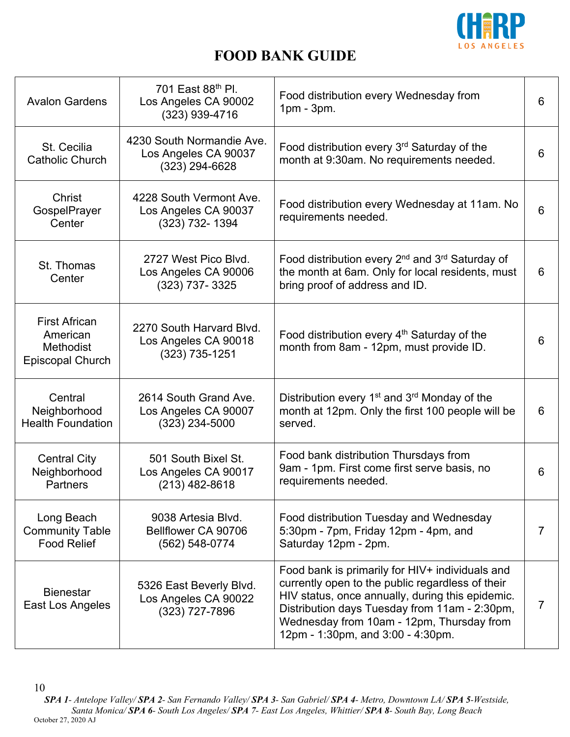

| <b>Avalon Gardens</b>                                                           | 701 East 88th Pl.<br>Los Angeles CA 90002<br>$(323)$ 939-4716         | Food distribution every Wednesday from<br>$1pm - 3pm$ .                                                                                                                                                                                                                                    | 6              |
|---------------------------------------------------------------------------------|-----------------------------------------------------------------------|--------------------------------------------------------------------------------------------------------------------------------------------------------------------------------------------------------------------------------------------------------------------------------------------|----------------|
| St. Cecilia<br><b>Catholic Church</b>                                           | 4230 South Normandie Ave.<br>Los Angeles CA 90037<br>$(323)$ 294-6628 | Food distribution every 3rd Saturday of the<br>month at 9:30am. No requirements needed.                                                                                                                                                                                                    | 6              |
| Christ<br>GospelPrayer<br>Center                                                | 4228 South Vermont Ave.<br>Los Angeles CA 90037<br>$(323)$ 732-1394   | Food distribution every Wednesday at 11am. No<br>requirements needed.                                                                                                                                                                                                                      | 6              |
| St. Thomas<br>Center                                                            | 2727 West Pico Blyd.<br>Los Angeles CA 90006<br>(323) 737-3325        | Food distribution every 2 <sup>nd</sup> and 3 <sup>rd</sup> Saturday of<br>the month at 6am. Only for local residents, must<br>bring proof of address and ID.                                                                                                                              | 6              |
| <b>First African</b><br>American<br><b>Methodist</b><br><b>Episcopal Church</b> | 2270 South Harvard Blvd.<br>Los Angeles CA 90018<br>$(323)$ 735-1251  | Food distribution every 4 <sup>th</sup> Saturday of the<br>month from 8am - 12pm, must provide ID.                                                                                                                                                                                         | 6              |
| Central<br>Neighborhood<br><b>Health Foundation</b>                             | 2614 South Grand Ave.<br>Los Angeles CA 90007<br>$(323)$ 234-5000     | Distribution every 1 <sup>st</sup> and 3 <sup>rd</sup> Monday of the<br>month at 12pm. Only the first 100 people will be<br>served.                                                                                                                                                        | 6              |
| <b>Central City</b><br>Neighborhood<br><b>Partners</b>                          | 501 South Bixel St.<br>Los Angeles CA 90017<br>$(213)$ 482-8618       | Food bank distribution Thursdays from<br>9am - 1pm. First come first serve basis, no<br>requirements needed.                                                                                                                                                                               | 6              |
| Long Beach<br><b>Community Table</b><br><b>Food Relief</b>                      | 9038 Artesia Blvd.<br>Bellflower CA 90706<br>(562) 548-0774           | Food distribution Tuesday and Wednesday<br>5:30pm - 7pm, Friday 12pm - 4pm, and<br>Saturday 12pm - 2pm.                                                                                                                                                                                    | 7              |
| <b>Bienestar</b><br>East Los Angeles                                            | 5326 East Beverly Blvd.<br>Los Angeles CA 90022<br>$(323)$ 727-7896   | Food bank is primarily for HIV+ individuals and<br>currently open to the public regardless of their<br>HIV status, once annually, during this epidemic.<br>Distribution days Tuesday from 11am - 2:30pm,<br>Wednesday from 10am - 12pm, Thursday from<br>12pm - 1:30pm, and 3:00 - 4:30pm. | $\overline{7}$ |

*SPA 1- Antelope Valley/ SPA 2- San Fernando Valley/ SPA 3- San Gabriel/ SPA 4- Metro, Downtown LA/ SPA 5-Westside, Santa Monica/ SPA 6- South Los Angeles/ SPA 7- East Los Angeles, Whittier/ SPA 8- South Bay, Long Beach* October 27, 2020 AJ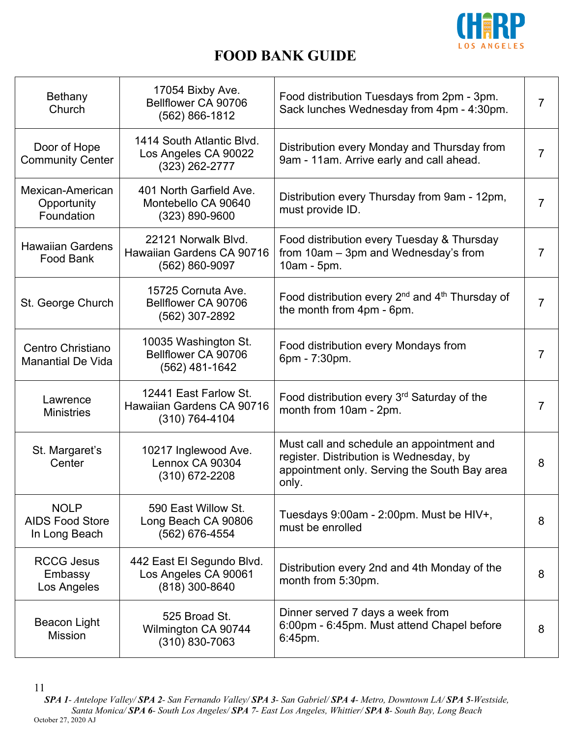

| Bethany<br>Church                                      | 17054 Bixby Ave.<br>Bellflower CA 90706<br>(562) 866-1812              | Food distribution Tuesdays from 2pm - 3pm.<br>Sack lunches Wednesday from 4pm - 4:30pm.                                                       | 7              |
|--------------------------------------------------------|------------------------------------------------------------------------|-----------------------------------------------------------------------------------------------------------------------------------------------|----------------|
| Door of Hope<br><b>Community Center</b>                | 1414 South Atlantic Blvd.<br>Los Angeles CA 90022<br>$(323)$ 262-2777  | Distribution every Monday and Thursday from<br>9am - 11am. Arrive early and call ahead.                                                       | 7              |
| Mexican-American<br>Opportunity<br>Foundation          | 401 North Garfield Ave.<br>Montebello CA 90640<br>$(323) 890 - 9600$   | Distribution every Thursday from 9am - 12pm,<br>must provide ID.                                                                              | 7              |
| <b>Hawaiian Gardens</b><br>Food Bank                   | 22121 Norwalk Blvd.<br>Hawaiian Gardens CA 90716<br>(562) 860-9097     | Food distribution every Tuesday & Thursday<br>from 10am - 3pm and Wednesday's from<br>10am - 5pm.                                             | 7              |
| St. George Church                                      | 15725 Cornuta Ave.<br>Bellflower CA 90706<br>(562) 307-2892            | Food distribution every $2^{nd}$ and $4^{th}$ Thursday of<br>the month from 4pm - 6pm.                                                        | 7              |
| Centro Christiano<br><b>Manantial De Vida</b>          | 10035 Washington St.<br>Bellflower CA 90706<br>(562) 481-1642          | Food distribution every Mondays from<br>6pm - 7:30pm.                                                                                         | 7              |
| Lawrence<br><b>Ministries</b>                          | 12441 East Farlow St.<br>Hawaiian Gardens CA 90716<br>$(310)$ 764-4104 | Food distribution every 3 <sup>rd</sup> Saturday of the<br>month from 10am - 2pm.                                                             | $\overline{7}$ |
| St. Margaret's<br>Center                               | 10217 Inglewood Ave.<br>Lennox CA 90304<br>$(310)$ 672-2208            | Must call and schedule an appointment and<br>register. Distribution is Wednesday, by<br>appointment only. Serving the South Bay area<br>only. | 8              |
| <b>NOLP</b><br><b>AIDS Food Store</b><br>In Long Beach | 590 East Willow St.<br>Long Beach CA 90806<br>(562) 676-4554           | Tuesdays 9:00am - 2:00pm. Must be HIV+,<br>must be enrolled                                                                                   | 8              |
| <b>RCCG Jesus</b><br>Embassy<br>Los Angeles            | 442 East El Segundo Blvd.<br>Los Angeles CA 90061<br>$(818)$ 300-8640  | Distribution every 2nd and 4th Monday of the<br>month from 5:30pm.                                                                            | 8              |
| Beacon Light<br><b>Mission</b>                         | 525 Broad St.<br>Wilmington CA 90744<br>$(310) 830 - 7063$             | Dinner served 7 days a week from<br>6:00pm - 6:45pm. Must attend Chapel before<br>6:45pm.                                                     | 8              |

11

*SPA 1- Antelope Valley/ SPA 2- San Fernando Valley/ SPA 3- San Gabriel/ SPA 4- Metro, Downtown LA/ SPA 5-Westside, Santa Monica/ SPA 6- South Los Angeles/ SPA 7- East Los Angeles, Whittier/ SPA 8- South Bay, Long Beach* October 27, 2020 AJ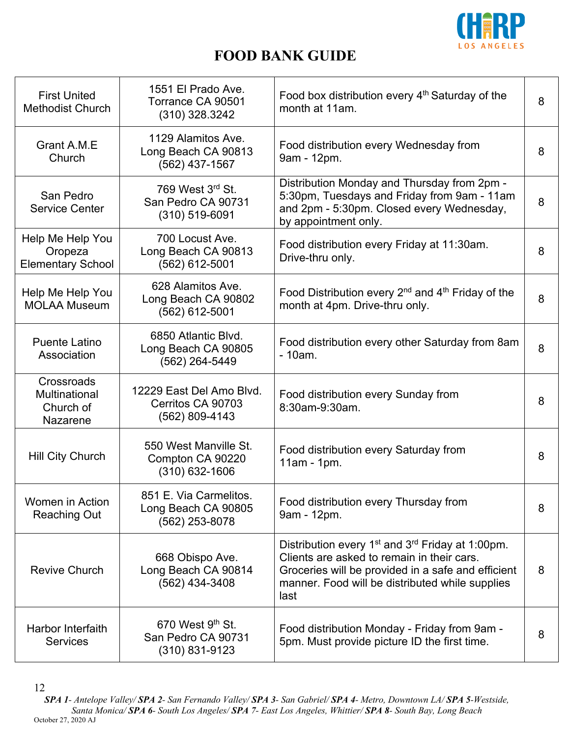

| <b>First United</b><br><b>Methodist Church</b>          | 1551 El Prado Ave.<br>Torrance CA 90501<br>$(310)$ 328.3242     | Food box distribution every 4 <sup>th</sup> Saturday of the<br>month at 11am.                                                                                                                                                           | 8 |
|---------------------------------------------------------|-----------------------------------------------------------------|-----------------------------------------------------------------------------------------------------------------------------------------------------------------------------------------------------------------------------------------|---|
| Grant A.M.E<br>Church                                   | 1129 Alamitos Ave.<br>Long Beach CA 90813<br>(562) 437-1567     | Food distribution every Wednesday from<br>9am - 12pm.                                                                                                                                                                                   | 8 |
| San Pedro<br><b>Service Center</b>                      | 769 West 3rd St.<br>San Pedro CA 90731<br>(310) 519-6091        | Distribution Monday and Thursday from 2pm -<br>5:30pm, Tuesdays and Friday from 9am - 11am<br>and 2pm - 5:30pm. Closed every Wednesday,<br>by appointment only.                                                                         | 8 |
| Help Me Help You<br>Oropeza<br><b>Elementary School</b> | 700 Locust Ave.<br>Long Beach CA 90813<br>(562) 612-5001        | Food distribution every Friday at 11:30am.<br>Drive-thru only.                                                                                                                                                                          | 8 |
| Help Me Help You<br><b>MOLAA Museum</b>                 | 628 Alamitos Ave.<br>Long Beach CA 90802<br>$(562)$ 612-5001    | Food Distribution every $2^{nd}$ and $4^{th}$ Friday of the<br>month at 4pm. Drive-thru only.                                                                                                                                           | 8 |
| <b>Puente Latino</b><br>Association                     | 6850 Atlantic Blvd.<br>Long Beach CA 90805<br>(562) 264-5449    | Food distribution every other Saturday from 8am<br>$-10am.$                                                                                                                                                                             | 8 |
| Crossroads<br>Multinational<br>Church of<br>Nazarene    | 12229 East Del Amo Blvd.<br>Cerritos CA 90703<br>(562) 809-4143 | Food distribution every Sunday from<br>8:30am-9:30am.                                                                                                                                                                                   | 8 |
| Hill City Church                                        | 550 West Manville St.<br>Compton CA 90220<br>$(310)$ 632-1606   | Food distribution every Saturday from<br>11am - 1pm.                                                                                                                                                                                    | 8 |
| Women in Action<br><b>Reaching Out</b>                  | 851 E. Via Carmelitos.<br>Long Beach CA 90805<br>(562) 253-8078 | Food distribution every Thursday from<br>9am - 12pm.                                                                                                                                                                                    | 8 |
| <b>Revive Church</b>                                    | 668 Obispo Ave.<br>Long Beach CA 90814<br>(562) 434-3408        | Distribution every 1 <sup>st</sup> and 3 <sup>rd</sup> Friday at 1:00pm.<br>Clients are asked to remain in their cars.<br>Groceries will be provided in a safe and efficient<br>manner. Food will be distributed while supplies<br>last | 8 |
| Harbor Interfaith<br><b>Services</b>                    | 670 West 9th St.<br>San Pedro CA 90731<br>$(310)$ 831-9123      | Food distribution Monday - Friday from 9am -<br>5pm. Must provide picture ID the first time.                                                                                                                                            | 8 |

<sup>12</sup>

*SPA 1- Antelope Valley/ SPA 2- San Fernando Valley/ SPA 3- San Gabriel/ SPA 4- Metro, Downtown LA/ SPA 5-Westside, Santa Monica/ SPA 6- South Los Angeles/ SPA 7- East Los Angeles, Whittier/ SPA 8- South Bay, Long Beach* October 27, 2020 AJ